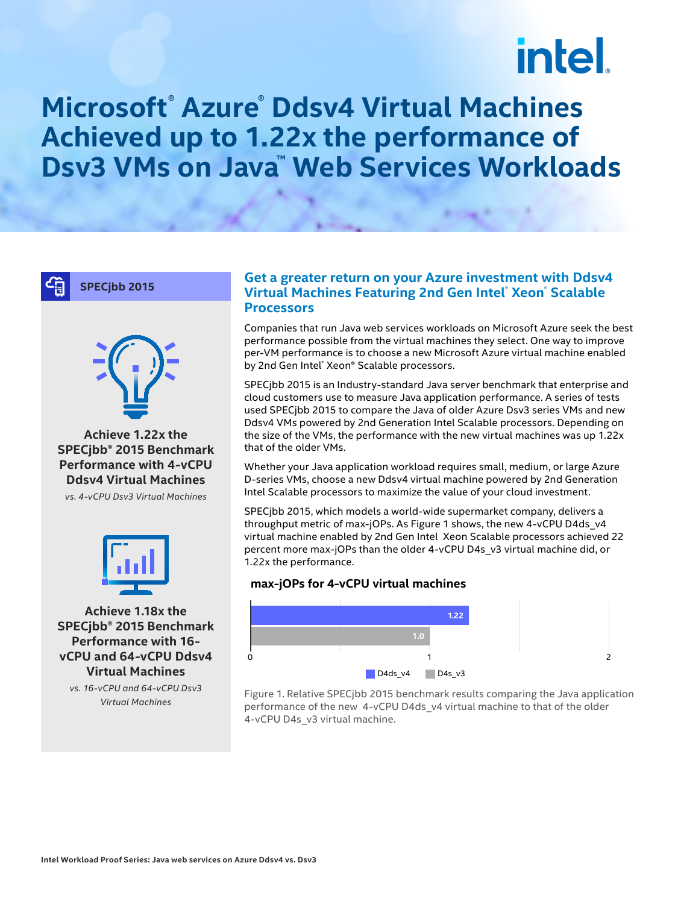# intel.

# **Microsoft® Azure® Ddsv4 Virtual Machines Achieved up to 1.22x the performance of Dsv3 VMs on Java™ Web Services Workloads**

**SPECjbb 2015**



**Achieve 1.22x the SPECjbb® 2015 Benchmark Performance with 4-vCPU Ddsv4 Virtual Machines**

*vs. 4-vCPU Dsv3 Virtual Machines*



**Achieve 1.18x the SPECjbb® 2015 Benchmark Performance with 16 vCPU and 64-vCPU Ddsv4 Virtual Machines**

*vs. 16-vCPU and 64-vCPU Dsv3 Virtual Machines*

## **Get a greater return on your Azure investment with Ddsv4 Virtual Machines Featuring 2nd Gen Intel® Xeon® Scalable Processors**

Companies that run Java web services workloads on Microsoft Azure seek the best performance possible from the virtual machines they select. One way to improve per-VM performance is to choose a new Microsoft Azure virtual machine enabled by 2nd Gen Intel® Xeon® Scalable processors.

SPECjbb 2015 is an Industry-standard Java server benchmark that enterprise and cloud customers use to measure Java application performance. A series of tests used SPECjbb 2015 to compare the Java of older Azure Dsv3 series VMs and new Ddsv4 VMs powered by 2nd Generation Intel Scalable processors. Depending on the size of the VMs, the performance with the new virtual machines was up 1.22x that of the older VMs.

Whether your Java application workload requires small, medium, or large Azure D-series VMs, choose a new Ddsv4 virtual machine powered by 2nd Generation Intel Scalable processors to maximize the value of your cloud investment.

SPECjbb 2015, which models a world-wide supermarket company, delivers a throughput metric of max-jOPs. As Figure 1 shows, the new 4-vCPU D4ds\_v4 virtual machine enabled by 2nd Gen Intel Xeon Scalable processors achieved 22 percent more max-jOPs than the older 4-vCPU D4s\_v3 virtual machine did, or 1.22x the performance.

#### **max-jOPs for 4-vCPU virtual machines**



Figure 1. Relative SPECjbb 2015 benchmark results comparing the Java application performance of the new 4-vCPU D4ds\_v4 virtual machine to that of the older 4-vCPU D4s\_v3 virtual machine.